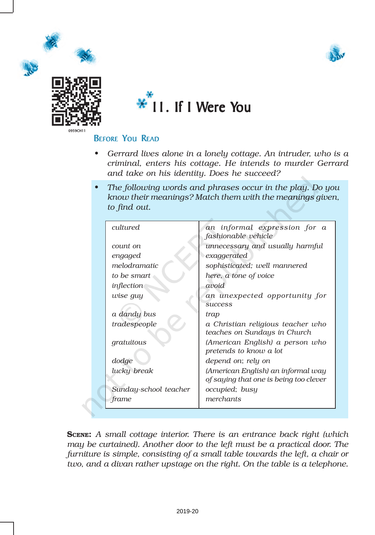







## BEFORE YOU READ

- *• Gerrard lives alone in a lonely cottage. An intruder, who is a criminal, enters his cottage. He intends to murder Gerrard and take on his identity. Does he succeed?*
- *• The following words and phrases occur in the play. Do you know their meanings? Match them with the meanings given, to find out.*

| cultured              | an informal expression for a<br>fashionable vehicle                          |  |  |
|-----------------------|------------------------------------------------------------------------------|--|--|
| count on              | unnecessary and usually harmful                                              |  |  |
| engaged               | exaggerated                                                                  |  |  |
| melodramatic          | sophisticated; well mannered                                                 |  |  |
| to be smart           | here, a tone of voice                                                        |  |  |
| inflection            | avoid                                                                        |  |  |
| wise guy              | an unexpected opportunity for<br><b>SUCCESS</b>                              |  |  |
| a dandy bus           | trap                                                                         |  |  |
| tradespeople          | a Christian religious teacher who<br>teaches on Sundays in Church            |  |  |
| gratuitous            | (American English) a person who<br>pretends to know a lot                    |  |  |
| dodge                 | depend on; rely on                                                           |  |  |
| lucky break           | (American English) an informal way<br>of saying that one is being too clever |  |  |
| Sunday-school teacher | occupied; busy                                                               |  |  |
| frame                 | merchants                                                                    |  |  |

SCENE: *A small cottage interior. There is an entrance back right (which may be curtained). Another door to the left must be a practical door. The furniture is simple, consisting of a small table towards the left, a chair or two, and a divan rather upstage on the right. On the table is a telephone.*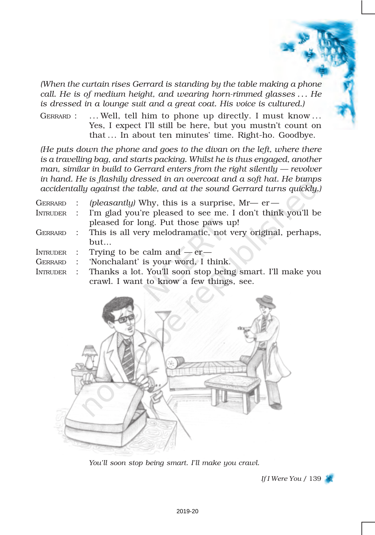*(When the curtain rises Gerrard is standing by the table making a phone call. He is of medium height, and wearing horn-rimmed glasses . . . He is dressed in a lounge suit and a great coat. His voice is cultured.)*

GERRARD : ... Well, tell him to phone up directly. I must know ... Yes, I expect I'll still be here, but you mustn't count on that ... In about ten minutes' time. Right-ho. Goodbye.

*(He puts down the phone and goes to the divan on the left, where there is a travelling bag, and starts packing. Whilst he is thus engaged, another man, similar in build to Gerrard enters from the right silently — revolver in hand. He is flashily dressed in an overcoat and a soft hat. He bumps accidentally against the table, and at the sound Gerrard turns quickly.)*

- GERRARD : *(pleasantly)* Why, this is a surprise, Mr— er INTRUDER : I'm glad you're pleased to see me. I don't think you'll be pleased for long. Put those paws up!
- GERRARD : This is all very melodramatic, not very original, perhaps, but…
- INTRUDER : Trying to be calm and  $-er-$
- GERRARD : 'Nonchalant' is your word, I think.
- INTRUDER : Thanks a lot. You'll soon stop being smart. I'll make you crawl. I want to know a few things, see.



*You'll soon stop being smart. I'll make you crawl.*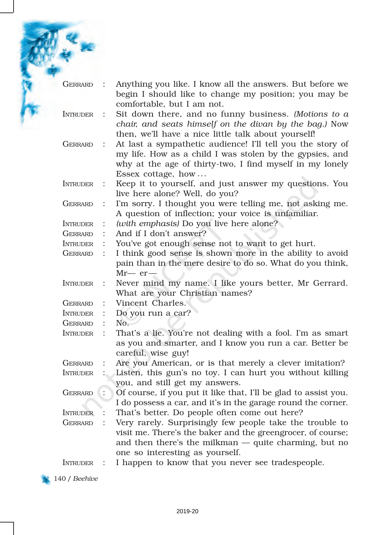| GERRARD         |                      | Anything you like. I know all the answers. But before we<br>begin I should like to change my position; you may be<br>comfortable, but I am not.                                                                       |
|-----------------|----------------------|-----------------------------------------------------------------------------------------------------------------------------------------------------------------------------------------------------------------------|
| <b>INTRUDER</b> |                      | Sit down there, and no funny business. (Motions to $\alpha$<br>chair, and seats himself on the divan by the bag.) Now<br>then, we'll have a nice little talk about yourself!                                          |
| GERRARD         | $\ddot{\phantom{1}}$ | At last a sympathetic audience! I'll tell you the story of<br>my life. How as a child I was stolen by the gypsies, and<br>why at the age of thirty-two, I find myself in my lonely<br>Essex cottage, how              |
| <b>INTRUDER</b> |                      | Keep it to yourself, and just answer my questions. You<br>live here alone? Well, do you?                                                                                                                              |
| <b>GERRARD</b>  |                      | I'm sorry. I thought you were telling me, not asking me.<br>A question of inflection; your voice is unfamiliar.                                                                                                       |
| <b>INTRUDER</b> |                      | (with emphasis) Do you live here alone?                                                                                                                                                                               |
| <b>GERRARD</b>  |                      | And if I don't answer?                                                                                                                                                                                                |
| <b>INTRUDER</b> |                      | You've got enough sense not to want to get hurt.                                                                                                                                                                      |
| <b>GERRARD</b>  |                      | I think good sense is shown more in the ability to avoid<br>pain than in the mere desire to do so. What do you think,<br>$Mr-er-$                                                                                     |
| <b>INTRUDER</b> |                      | Never mind my name. I like yours better, Mr Gerrard.<br>What are your Christian names?                                                                                                                                |
| <b>GERRARD</b>  |                      | Vincent Charles.                                                                                                                                                                                                      |
| <b>INTRUDER</b> |                      | Do you run a car?                                                                                                                                                                                                     |
| <b>GERRARD</b>  |                      | No.                                                                                                                                                                                                                   |
| <b>INTRUDER</b> |                      | That's a lie. You're not dealing with a fool. I'm as smart<br>as you and smarter, and I know you run a car. Better be<br>careful, wise guy!                                                                           |
| <b>GERRARD</b>  |                      | Are you American, or is that merely a clever imitation?                                                                                                                                                               |
| <b>INTRUDER</b> |                      | Listen, this gun's no toy. I can hurt you without killing<br>you, and still get my answers.                                                                                                                           |
| <b>GERRARD</b>  |                      | Of course, if you put it like that, I'll be glad to assist you.<br>I do possess a car, and it's in the garage round the corner.                                                                                       |
| <b>INTRUDER</b> |                      | That's better. Do people often come out here?                                                                                                                                                                         |
| <b>GERRARD</b>  |                      | Very rarely. Surprisingly few people take the trouble to<br>visit me. There's the baker and the greengrocer, of course;<br>and then there's the milkman $-$ quite charming, but no<br>one so interesting as yourself. |
| <b>INTRUDER</b> | $\ddot{\cdot}$       | I happen to know that you never see tradespeople.                                                                                                                                                                     |

140 / *Beehive*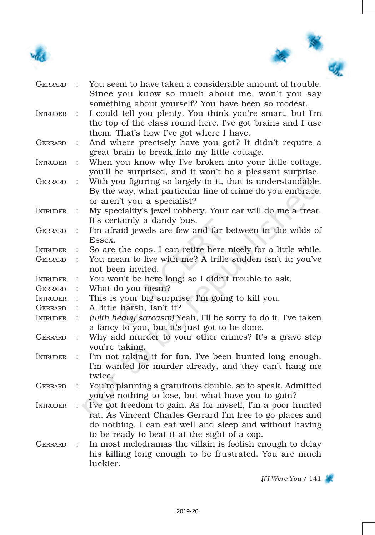



| <b>GERRARD</b>  |                      | You seem to have taken a considerable amount of trouble.<br>Since you know so much about me, won't you say                                                                                                                          |
|-----------------|----------------------|-------------------------------------------------------------------------------------------------------------------------------------------------------------------------------------------------------------------------------------|
| <b>INTRUDER</b> | $\ddot{\cdot}$       | something about yourself? You have been so modest.<br>I could tell you plenty. You think you're smart, but I'm<br>the top of the class round here. I've got brains and I use                                                        |
|                 |                      | them. That's how I've got where I have.                                                                                                                                                                                             |
| GERRARD         |                      | And where precisely have you got? It didn't require a<br>great brain to break into my little cottage.                                                                                                                               |
| <b>INTRUDER</b> |                      | When you know why I've broken into your little cottage,<br>you'll be surprised, and it won't be a pleasant surprise.                                                                                                                |
| GERRARD         | $\ddot{\cdot}$       | With you figuring so largely in it, that is understandable.<br>By the way, what particular line of crime do you embrace,                                                                                                            |
| <b>INTRUDER</b> |                      | or aren't you a specialist?<br>My speciality's jewel robbery. Your car will do me a treat.<br>It's certainly a dandy bus.                                                                                                           |
| GERRARD         |                      | I'm afraid jewels are few and far between in the wilds of<br>Essex.                                                                                                                                                                 |
| <b>INTRUDER</b> |                      | So are the cops. I can retire here nicely for a little while.                                                                                                                                                                       |
| GERRARD         | $\ddot{\cdot}$       | You mean to live with me? A trifle sudden isn't it; you've<br>not been invited.                                                                                                                                                     |
| <b>INTRUDER</b> |                      | You won't be here long; so I didn't trouble to ask.                                                                                                                                                                                 |
| <b>GERRARD</b>  |                      | What do you mean?                                                                                                                                                                                                                   |
| <b>INTRUDER</b> |                      | This is your big surprise. I'm going to kill you.                                                                                                                                                                                   |
| GERRARD         |                      | A little harsh, isn't it?                                                                                                                                                                                                           |
| <b>INTRUDER</b> |                      | (with heavy sarcasm) Yeah, I'll be sorry to do it. I've taken<br>a fancy to you, but it's just got to be done.                                                                                                                      |
| <b>GERRARD</b>  | $\ddot{\cdot}$       | Why add murder to your other crimes? It's a grave step<br>you're taking.                                                                                                                                                            |
| <b>INTRUDER</b> | $\ddot{\cdot}$       | I'm not taking it for fun. I've been hunted long enough.<br>I'm wanted for murder already, and they can't hang me<br>twice.                                                                                                         |
| <b>GERRARD</b>  | $\ddot{\cdot}$       | You're planning a gratuitous double, so to speak. Admitted<br>you've nothing to lose, but what have you to gain?                                                                                                                    |
| <b>INTRUDER</b> | $\ddot{\phantom{1}}$ | I've got freedom to gain. As for myself, I'm a poor hunted<br>rat. As Vincent Charles Gerrard I'm free to go places and<br>do nothing. I can eat well and sleep and without having<br>to be ready to beat it at the sight of a cop. |
| GERRARD         | $\ddot{\cdot}$       | In most melodramas the villain is foolish enough to delay<br>his killing long enough to be frustrated. You are much<br>luckier.                                                                                                     |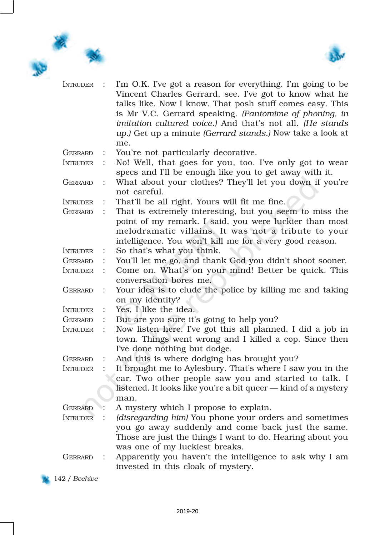



| <b>INTRUDER</b> |                      | I'm O.K. I've got a reason for everything. I'm going to be<br>Vincent Charles Gerrard, see. I've got to know what he<br>talks like. Now I know. That posh stuff comes easy. This<br>is Mr V.C. Gerrard speaking. (Pantomime of phoning, in<br>imitation cultured voice.) And that's not all. (He stands<br>up.) Get up a minute (Gerrard stands.) Now take a look at<br>me. |
|-----------------|----------------------|-----------------------------------------------------------------------------------------------------------------------------------------------------------------------------------------------------------------------------------------------------------------------------------------------------------------------------------------------------------------------------|
| GERRARD         |                      | You're not particularly decorative.                                                                                                                                                                                                                                                                                                                                         |
| <b>INTRUDER</b> | $\ddot{\phantom{a}}$ | No! Well, that goes for you, too. I've only got to wear<br>specs and I'll be enough like you to get away with it.                                                                                                                                                                                                                                                           |
| <b>GERRARD</b>  | $\ddot{\cdot}$       | What about your clothes? They'll let you down if you're<br>not careful.                                                                                                                                                                                                                                                                                                     |
| <b>INTRUDER</b> |                      | That'll be all right. Yours will fit me fine.                                                                                                                                                                                                                                                                                                                               |
| <b>GERRARD</b>  | $\ddot{\cdot}$       | That is extremely interesting, but you seem to miss the<br>point of my remark. I said, you were luckier than most<br>melodramatic villains. It was not a tribute to your<br>intelligence. You won't kill me for a very good reason.                                                                                                                                         |
| <b>INTRUDER</b> |                      | So that's what you think.                                                                                                                                                                                                                                                                                                                                                   |
| GERRARD         |                      | You'll let me go, and thank God you didn't shoot sooner.                                                                                                                                                                                                                                                                                                                    |
| <b>INTRUDER</b> | $\ddot{\cdot}$       | Come on. What's on your mind! Better be quick. This<br>conversation bores me.                                                                                                                                                                                                                                                                                               |
| <b>GERRARD</b>  |                      | Your idea is to elude the police by killing me and taking<br>on my identity?                                                                                                                                                                                                                                                                                                |
| <b>INTRUDER</b> |                      | Yes, I like the idea.                                                                                                                                                                                                                                                                                                                                                       |
| GERRARD         |                      | But are you sure it's going to help you?                                                                                                                                                                                                                                                                                                                                    |
| <b>INTRUDER</b> |                      | Now listen here. I've got this all planned. I did a job in<br>town. Things went wrong and I killed a cop. Since then<br>I've done nothing but dodge.                                                                                                                                                                                                                        |
| <b>GERRARD</b>  |                      | And this is where dodging has brought you?                                                                                                                                                                                                                                                                                                                                  |
| <b>INTRUDER</b> |                      | It brought me to Aylesbury. That's where I saw you in the<br>car. Two other people saw you and started to talk. I<br>listened. It looks like you're a bit queer - kind of a mystery<br>man.                                                                                                                                                                                 |
| GERRARD :       |                      | A mystery which I propose to explain.                                                                                                                                                                                                                                                                                                                                       |
| INTRUDER :      |                      | (disregarding him) You phone your orders and sometimes<br>you go away suddenly and come back just the same.<br>Those are just the things I want to do. Hearing about you<br>was one of my luckiest breaks.                                                                                                                                                                  |
| <b>GERRARD</b>  | $\mathbb{R}$         | Apparently you haven't the intelligence to ask why I am<br>invested in this cloak of mystery.                                                                                                                                                                                                                                                                               |

142 / *Beehive*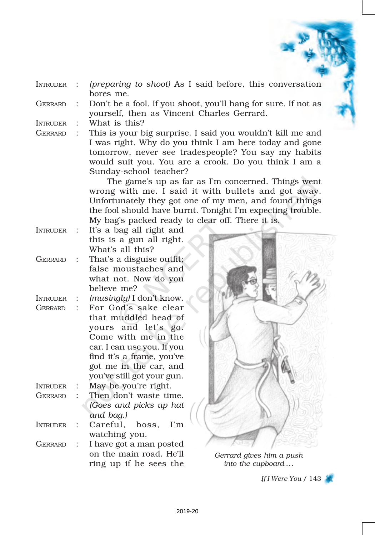- INTRUDER : *(preparing to shoot)* As I said before, this conversation bores me.
- GERRARD : Don't be a fool. If you shoot, you'll hang for sure. If not as yourself, then as Vincent Charles Gerrard.
- INTRUDER : What is this?
- 

GERRARD : This is your big surprise. I said you wouldn't kill me and I was right. Why do you think I am here today and gone tomorrow, never see tradespeople? You say my habits would suit you. You are a crook. Do you think I am a Sunday-school teacher?

> The game's up as far as I'm concerned. Things went wrong with me. I said it with bullets and got away. Unfortunately they got one of my men, and found things the fool should have burnt. Tonight I'm expecting trouble. My bag's packed ready to clear off. There it is.

- INTRUDER : It's a bag all right and this is a gun all right. What's all this?
- GERRARD : That's a disguise outfit; false moustaches and what not. Now do you believe me?
- INTRUDER : *(musingly)* I don't know.
- GERRARD : For God's sake clear that muddled head of yours and let's go. Come with me in the car. I can use you. If you find it's a frame, you've got me in the car, and you've still got your gun.
- INTRUDER : May be you're right.
- GERRARD : Then don't waste time. *(Goes and picks up hat and bag.)*
- INTRUDER : Careful, boss, I'm watching you.
- GERRARD : I have got a man posted on the main road. He'll ring up if he sees the



*Gerrard gives him a push into the cupboard ...*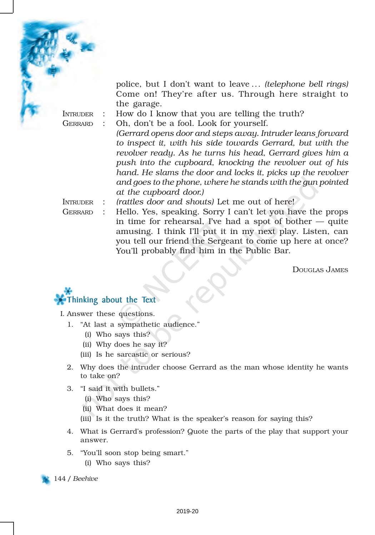

police, but I don't want to leave ... *(telephone bell rings)* Come on! They're after us. Through here straight to the garage.

INTRUDER : How do I know that you are telling the truth?

GERRARD : Oh, don't be a fool. Look for yourself.

*(Gerrard opens door and steps away. Intruder leans forward to inspect it, with his side towards Gerrard, but with the revolver ready. As he turns his head, Gerrard gives him a push into the cupboard, knocking the revolver out of his hand. He slams the door and locks it, picks up the revolver and goes to the phone, where he stands with the gun pointed at the cupboard door.)*

INTRUDER : *(rattles door and shouts)* Let me out of here!

GERRARD : Hello. Yes, speaking. Sorry I can't let you have the props in time for rehearsal, I've had a spot of bother  $-$  quite amusing. I think I'll put it in my next play. Listen, can you tell our friend the Sergeant to come up here at once? You'll probably find him in the Public Bar.

DOUGLAS JAMES



I. Answer these questions.

- 1. "At last a sympathetic audience."
	- (i) Who says this?
	- (ii) Why does he say it?
	- (iii) Is he sarcastic or serious?
- 2. Why does the intruder choose Gerrard as the man whose identity he wants to take on?
- 3. "I said it with bullets."
	- (i) Who says this?
	- (ii) What does it mean?
	- (iii) Is it the truth? What is the speaker's reason for saying this?
- 4. What is Gerrard's profession? Quote the parts of the play that support your answer.
- 5. "You'll soon stop being smart."
	- (i) Who says this?

144 / *Beehive*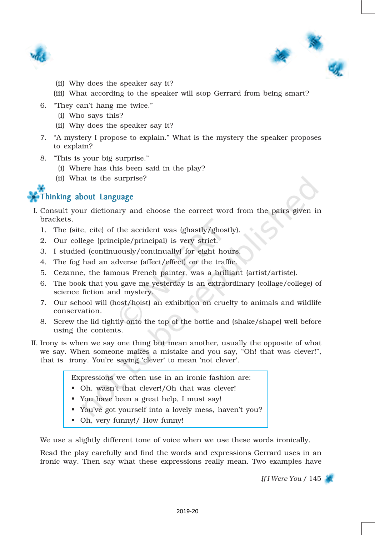



- (ii) Why does the speaker say it?
- (iii) What according to the speaker will stop Gerrard from being smart?
- 6. "They can't hang me twice."
	- (i) Who says this?
	- (ii) Why does the speaker say it?
- 7. "A mystery I propose to explain." What is the mystery the speaker proposes to explain?
- 8. "This is your big surprise."
	- (i) Where has this been said in the play?
	- (ii) What is the surprise?

## Thinking about Language

- I. Consult your dictionary and choose the correct word from the pairs given in brackets.
	- 1. The (site, cite) of the accident was (ghastly/ghostly).
	- 2. Our college (principle/principal) is very strict.
	- 3. I studied (continuously/continually) for eight hours.
	- 4. The fog had an adverse (affect/effect) on the traffic.
	- 5. Cezanne, the famous French painter, was a brilliant (artist/artiste).
	- 6. The book that you gave me yesterday is an extraordinary (collage/college) of science fiction and mystery.
	- 7. Our school will (host/hoist) an exhibition on cruelty to animals and wildlife conservation.
	- 8. Screw the lid tightly onto the top of the bottle and (shake/shape) well before using the contents.
- II. Irony is when we say one thing but mean another, usually the opposite of what we say. When someone makes a mistake and you say, "Oh! that was clever!", that is irony. You're saying 'clever' to mean 'not clever'.

Expressions we often use in an ironic fashion are:

- Oh, wasn't that clever!/Oh that was clever!
- You have been a great help, I must say!
- You've got yourself into a lovely mess, haven't you?
- Oh, very funny!/ How funny!

We use a slightly different tone of voice when we use these words ironically.

Read the play carefully and find the words and expressions Gerrard uses in an ironic way. Then say what these expressions really mean. Two examples have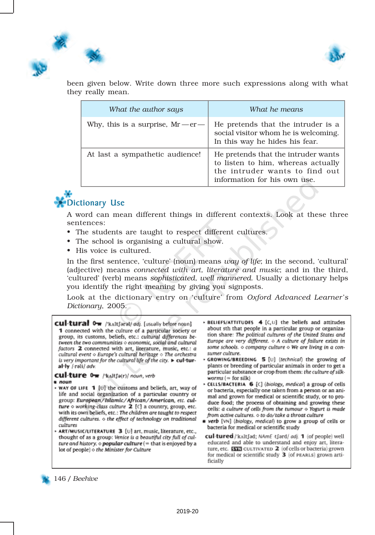



been given below. Write down three more such expressions along with what they really mean.

| What the author says                 | What he means                                                                                                                               |
|--------------------------------------|---------------------------------------------------------------------------------------------------------------------------------------------|
| Why, this is a surprise, $Mr - er -$ | He pretends that the intruder is a<br>social visitor whom he is welcoming.<br>In this way he hides his fear.                                |
| At last a sympathetic audience!      | He pretends that the intruder wants<br>to listen to him, whereas actually<br>the intruder wants to find out<br>information for his own use. |



A word can mean different things in different contexts. Look at these three sentences:

- The students are taught to respect different cultures.
- The school is organising a cultural show.
- His voice is cultured.

In the first sentence, 'culture' (noun) means *way of life*; in the second, 'cultural' (adjective) means *connected with art, literature and music*; and in the third, 'cultured' (verb) means *sophisticated, well mannered*. Usually a dictionary helps you identify the right meaning by giving you signposts.

Look at the dictionary entry on 'culture' from *Oxford Advanced Learner's Dictionary*, 2005.

| 1 connected with the culture of a particular society or                             |
|-------------------------------------------------------------------------------------|
| group, its customs, beliefs, etc.: cultural differences be-                         |
| tween the two communities $\diamond$ economic, social and cultural                  |
| factors 2 connected with art, literature, music, etc.: a                            |
| cultural event $\diamond$ Europe's cultural heritage $\diamond$ The orchestra       |
| is very important for the cultural life of the city. $\blacktriangleright$ cul-tur- |
|                                                                                     |
|                                                                                     |

**cul-ture 0-** /kaltfa(r)/ noun, verb

 $noun$ 

- WAY OF LIFE 1 [U] the customs and beliefs, art, way of life and social organization of a particular country or group: European/Islamic/African/American, etc. culture  $\circ$  working-class culture  $2$  [C] a country, group, etc. with its own beliefs, etc.: The children are taught to respect different cultures.  $\diamond$  the effect of technology on traditional cultures
- ART/MUSIC/LITERATURE 3 [U] art, music, literature, etc., thought of as a group: Venice is a beautiful city full of culture and history.  $\circ$  popular culture (= that is enjoyed by a lot of people)  $\diamond$  the Minister for Culture
- » BELIEFS/ATTITUDES 4 [C, U] the beliefs and attitudes about sth that people in a particular group or organization share: The political cultures of the United States and Europe are very different.  $\diamond$  A culture of failure exists in some schools. o company culture o We are living in a consumer culture.
- · GROWING/BREEDING 5 [U] (technical) the growing of plants or breeding of particular animals in order to get a particular substance or crop from them: the culture of silkworms  $(=$  for silk)
- CELLS/BACTERIA 6 [C] (biology, medical) a group of cells or bacteria, especially one taken from a person or an animal and grown for medical or scientific study, or to produce food; the process of obtaining and growing these cells: a culture of cells from the tumour  $\diamond$  Yogurt is made from active cultures. o to do/take a throat culture
- **\*** verb [VN] (biology, medical) to grow a group of cells or bacteria for medical or scientific study
- cul-tured /'kʌltfəd; NAmE -tfard/ adj. 1 (of people) well educated and able to understand and enjoy art, literature, etc. **EXXI** CULTIVATED 2 (of cells or bacteria) grown for medical or scientific study 3 (of PEARLS) grown artificially

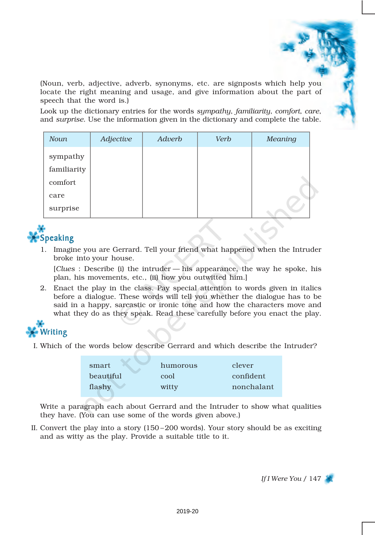(Noun, verb, adjective, adverb, synonyms, etc. are signposts which help you locate the right meaning and usage, and give information about the part of speech that the word is.)

Look up the dictionary entries for the words *sympathy*, *familiarity*, *comfort*, *care*, and *surprise*. Use the information given in the dictionary and complete the table.

| <b>Noun</b>             | Adjective | Adverb | Verb | Meaning |
|-------------------------|-----------|--------|------|---------|
| sympathy<br>familiarity |           |        |      |         |
| comfort                 |           |        |      |         |
| care                    |           |        |      |         |
| surprise                |           |        |      |         |



1. Imagine you are Gerrard. Tell your friend what happened when the Intruder broke into your house.

[*Clues* : Describe (i) the intruder — his appearance, the way he spoke, his plan, his movements, etc., (ii) how you outwitted him.]

2. Enact the play in the class. Pay special attention to words given in italics before a dialogue. These words will tell you whether the dialogue has to be said in a happy, sarcastic or ironic tone and how the characters move and what they do as they speak. Read these carefully before you enact the play.



I. Which of the words below describe Gerrard and which describe the Intruder?

| smart     | humorous | clever     |
|-----------|----------|------------|
| beautiful | cool     | confident. |
| flashy    | witty    | nonchalant |

Write a paragraph each about Gerrard and the Intruder to show what qualities they have. (You can use some of the words given above.)

II. Convert the play into a story (150 –200 words). Your story should be as exciting and as witty as the play. Provide a suitable title to it.